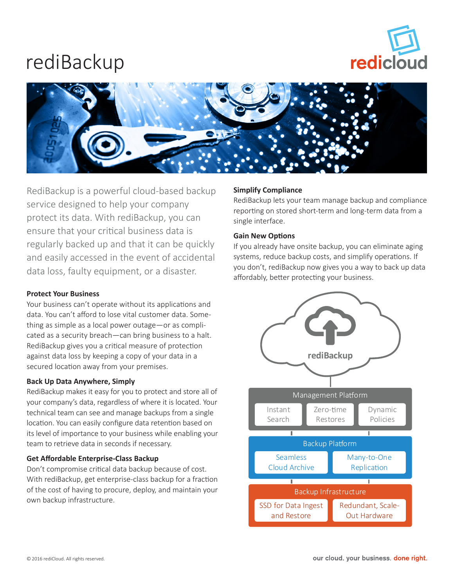

## rediBackup



RediBackup is a powerful cloud-based backup service designed to help your company protect its data. With rediBackup, you can ensure that your critical business data is regularly backed up and that it can be quickly and easily accessed in the event of accidental data loss, faulty equipment, or a disaster.

#### **Protect Your Business**

Your business can't operate without its applications and data. You can't afford to lose vital customer data. Something as simple as a local power outage—or as complicated as a security breach—can bring business to a halt. RediBackup gives you a critical measure of protection against data loss by keeping a copy of your data in a secured location away from your premises.

#### **Back Up Data Anywhere, Simply**

RediBackup makes it easy for you to protect and store all of your company's data, regardless of where it is located. Your technical team can see and manage backups from a single location. You can easily configure data retention based on its level of importance to your business while enabling your team to retrieve data in seconds if necessary.

### **Get Affordable Enterprise-Class Backup**

Don't compromise critical data backup because of cost. With rediBackup, get enterprise-class backup for a fraction of the cost of having to procure, deploy, and maintain your own backup infrastructure.

#### **Simplify Compliance**

RediBackup lets your team manage backup and compliance reporting on stored short-term and long-term data from a single interface.

#### **Gain New Options**

If you already have onsite backup, you can eliminate aging systems, reduce backup costs, and simplify operations. If you don't, rediBackup now gives you a way to back up data affordably, better protecting your business.